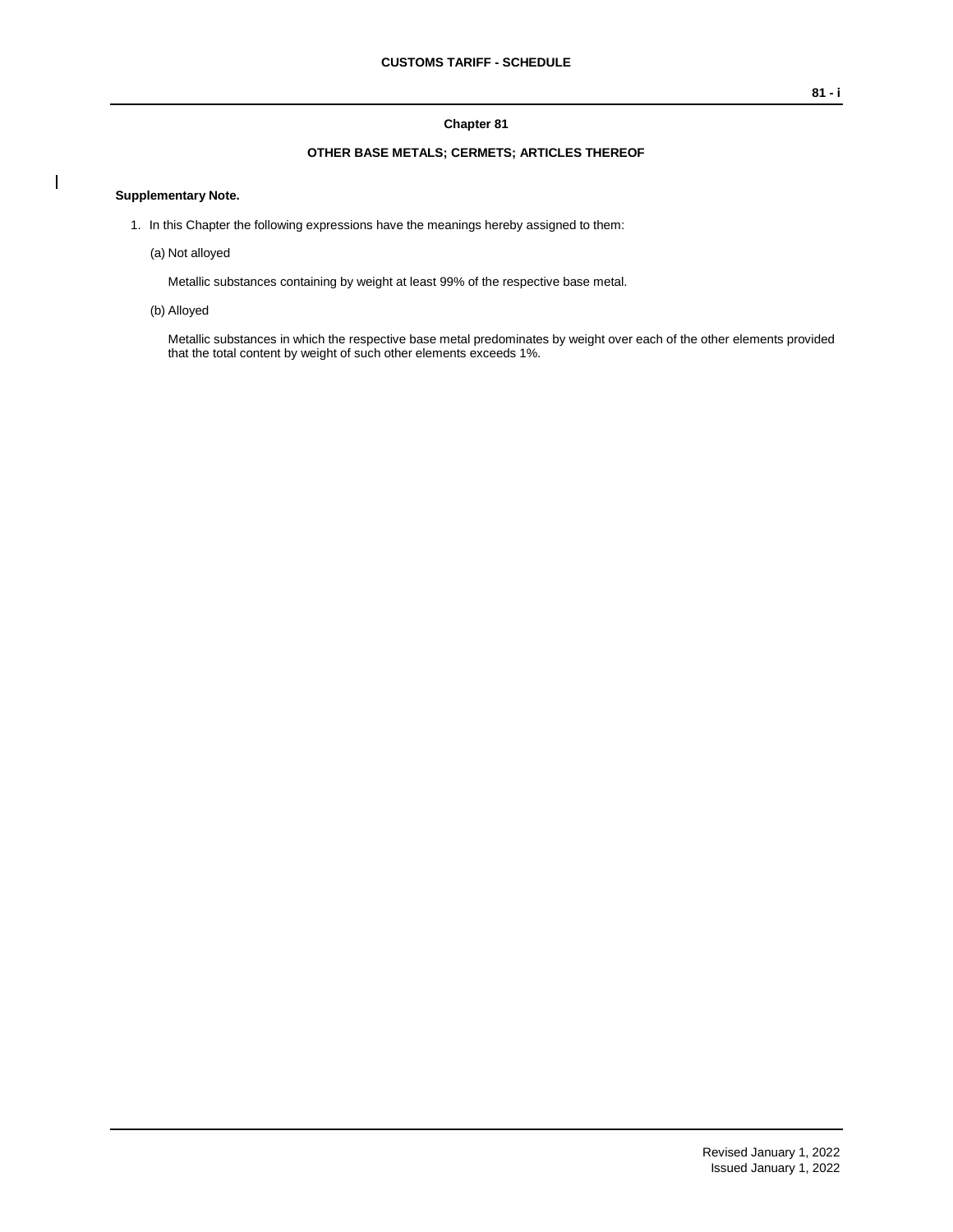#### **Chapter 81**

### **OTHER BASE METALS; CERMETS; ARTICLES THEREOF**

#### **Supplementary Note.**

 $\overline{\phantom{a}}$ 

- 1. In this Chapter the following expressions have the meanings hereby assigned to them:
	- (a) Not alloyed

Metallic substances containing by weight at least 99% of the respective base metal.

(b) Alloyed

Metallic substances in which the respective base metal predominates by weight over each of the other elements provided that the total content by weight of such other elements exceeds 1%.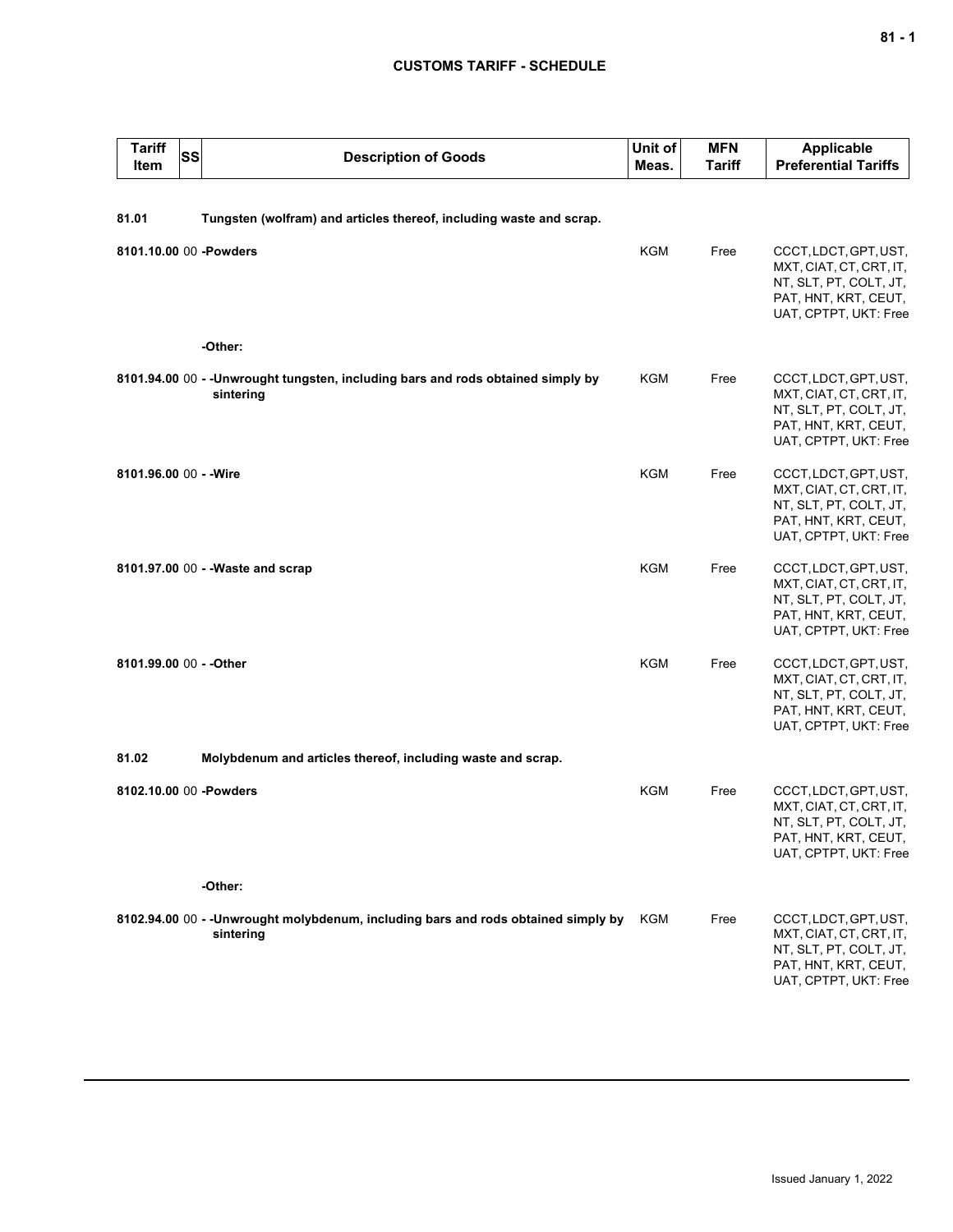# **CUSTOMS TARIFF - SCHEDULE**

| <b>Tariff</b><br>Item  | SS | <b>Description of Goods</b>                                                                    | Unit of<br>Meas. | <b>MFN</b><br>Tariff | <b>Applicable</b><br><b>Preferential Tariffs</b>                                                                            |
|------------------------|----|------------------------------------------------------------------------------------------------|------------------|----------------------|-----------------------------------------------------------------------------------------------------------------------------|
| 81.01                  |    | Tungsten (wolfram) and articles thereof, including waste and scrap.                            |                  |                      |                                                                                                                             |
|                        |    | 8101.10.00 00 -Powders                                                                         | <b>KGM</b>       | Free                 | CCCT, LDCT, GPT, UST,<br>MXT, CIAT, CT, CRT, IT,<br>NT, SLT, PT, COLT, JT,<br>PAT, HNT, KRT, CEUT,<br>UAT, CPTPT, UKT: Free |
|                        |    | -Other:                                                                                        |                  |                      |                                                                                                                             |
|                        |    | 8101.94.00 00 - - Unwrought tungsten, including bars and rods obtained simply by<br>sintering  | <b>KGM</b>       | Free                 | CCCT, LDCT, GPT, UST,<br>MXT, CIAT, CT, CRT, IT,<br>NT, SLT, PT, COLT, JT,<br>PAT, HNT, KRT, CEUT,<br>UAT, CPTPT, UKT: Free |
| 8101.96.00 00 - - Wire |    |                                                                                                | <b>KGM</b>       | Free                 | CCCT, LDCT, GPT, UST,<br>MXT, CIAT, CT, CRT, IT,<br>NT, SLT, PT, COLT, JT,<br>PAT, HNT, KRT, CEUT,<br>UAT, CPTPT, UKT: Free |
|                        |    | 8101.97.00 00 - -Waste and scrap                                                               | <b>KGM</b>       | Free                 | CCCT, LDCT, GPT, UST,<br>MXT, CIAT, CT, CRT, IT,<br>NT, SLT, PT, COLT, JT,<br>PAT, HNT, KRT, CEUT,<br>UAT, CPTPT, UKT: Free |
|                        |    | 8101.99.00 00 - - Other                                                                        | <b>KGM</b>       | Free                 | CCCT, LDCT, GPT, UST,<br>MXT, CIAT, CT, CRT, IT,<br>NT, SLT, PT, COLT, JT,<br>PAT, HNT, KRT, CEUT,<br>UAT, CPTPT, UKT: Free |
| 81.02                  |    | Molybdenum and articles thereof, including waste and scrap.                                    |                  |                      |                                                                                                                             |
|                        |    | 8102.10.00 00 -Powders                                                                         | KGM              | Free                 | CCCT, LDCT, GPT, UST,<br>MXT, CIAT, CT, CRT, IT,<br>NT, SLT, PT, COLT, JT,<br>PAT, HNT, KRT, CEUT,<br>UAT, CPTPT, UKT: Free |
|                        |    | -Other:                                                                                        |                  |                      |                                                                                                                             |
|                        |    | 8102.94.00 00 - -Unwrought molybdenum, including bars and rods obtained simply by<br>sintering | KGM              | Free                 | CCCT, LDCT, GPT, UST,<br>MXT, CIAT, CT, CRT, IT,<br>NT, SLT, PT, COLT, JT,<br>PAT, HNT, KRT, CEUT,<br>UAT, CPTPT, UKT: Free |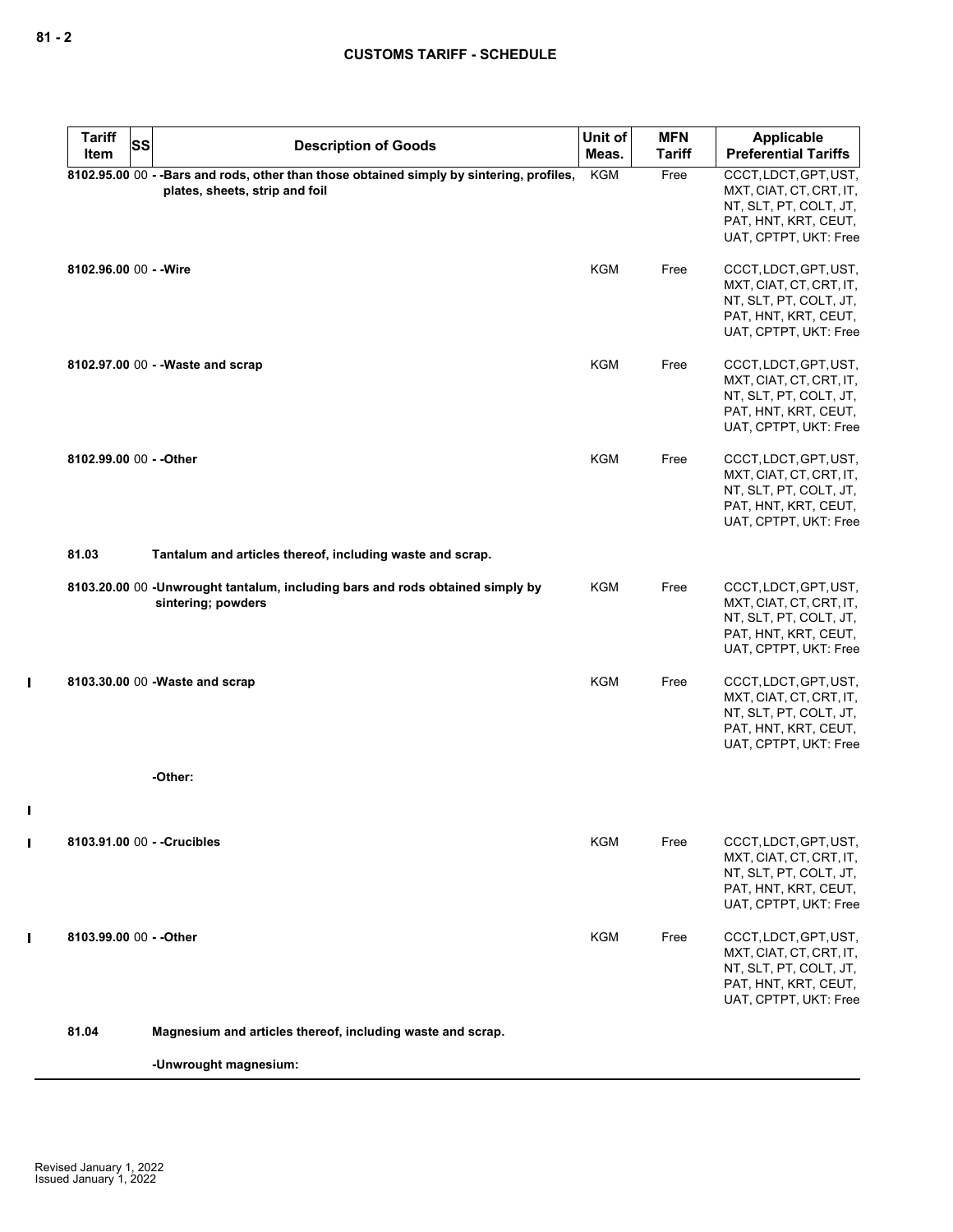$\mathbf I$ 

 $\mathbf I$ 

 $\mathbf{I}$ 

 $\mathbf I$ 

| <b>Tariff</b><br>Item       | <b>SS</b> | <b>Description of Goods</b>                                                                                                | Unit of<br>Meas. | <b>MFN</b><br><b>Tariff</b> | Applicable<br><b>Preferential Tariffs</b>                                                                                   |
|-----------------------------|-----------|----------------------------------------------------------------------------------------------------------------------------|------------------|-----------------------------|-----------------------------------------------------------------------------------------------------------------------------|
|                             |           | 8102.95.00 00 - -Bars and rods, other than those obtained simply by sintering, profiles,<br>plates, sheets, strip and foil | <b>KGM</b>       | Free                        | CCCT, LDCT, GPT, UST,<br>MXT, CIAT, CT, CRT, IT,<br>NT, SLT, PT, COLT, JT,<br>PAT, HNT, KRT, CEUT,<br>UAT, CPTPT, UKT: Free |
| 8102.96.00 00 - - Wire      |           |                                                                                                                            | <b>KGM</b>       | Free                        | CCCT, LDCT, GPT, UST,<br>MXT, CIAT, CT, CRT, IT,<br>NT, SLT, PT, COLT, JT,<br>PAT, HNT, KRT, CEUT,<br>UAT, CPTPT, UKT: Free |
|                             |           | 8102.97.00 00 - - Waste and scrap                                                                                          | <b>KGM</b>       | Free                        | CCCT, LDCT, GPT, UST,<br>MXT, CIAT, CT, CRT, IT,<br>NT, SLT, PT, COLT, JT,<br>PAT, HNT, KRT, CEUT,<br>UAT, CPTPT, UKT: Free |
| 8102.99.00 00 - - Other     |           |                                                                                                                            | <b>KGM</b>       | Free                        | CCCT, LDCT, GPT, UST,<br>MXT, CIAT, CT, CRT, IT,<br>NT, SLT, PT, COLT, JT,<br>PAT, HNT, KRT, CEUT,<br>UAT, CPTPT, UKT: Free |
| 81.03                       |           | Tantalum and articles thereof, including waste and scrap.                                                                  |                  |                             |                                                                                                                             |
|                             |           | 8103.20.00 00 -Unwrought tantalum, including bars and rods obtained simply by<br>sintering; powders                        | KGM              | Free                        | CCCT, LDCT, GPT, UST,<br>MXT, CIAT, CT, CRT, IT,<br>NT, SLT, PT, COLT, JT,<br>PAT, HNT, KRT, CEUT,<br>UAT, CPTPT, UKT: Free |
|                             |           | 8103.30.00 00 - Waste and scrap                                                                                            | <b>KGM</b>       | Free                        | CCCT, LDCT, GPT, UST,<br>MXT, CIAT, CT, CRT, IT,<br>NT, SLT, PT, COLT, JT,<br>PAT, HNT, KRT, CEUT,<br>UAT, CPTPT, UKT: Free |
|                             |           | -Other:                                                                                                                    |                  |                             |                                                                                                                             |
| 8103.91.00 00 - - Crucibles |           |                                                                                                                            | KGM              | Free                        | CCCT, LDCT, GPT, UST,<br>MXT, CIAT, CT, CRT, IT,<br>NT, SLT, PT, COLT, JT,<br>PAT, HNT, KRT, CEUT,<br>UAT, CPTPT, UKT: Free |
| 8103.99.00 00 - - Other     |           |                                                                                                                            | <b>KGM</b>       | Free                        | CCCT, LDCT, GPT, UST,<br>MXT, CIAT, CT, CRT, IT,<br>NT, SLT, PT, COLT, JT,<br>PAT, HNT, KRT, CEUT,<br>UAT, CPTPT, UKT: Free |
| 81.04                       |           | Magnesium and articles thereof, including waste and scrap.                                                                 |                  |                             |                                                                                                                             |
|                             |           | -Unwrought magnesium:                                                                                                      |                  |                             |                                                                                                                             |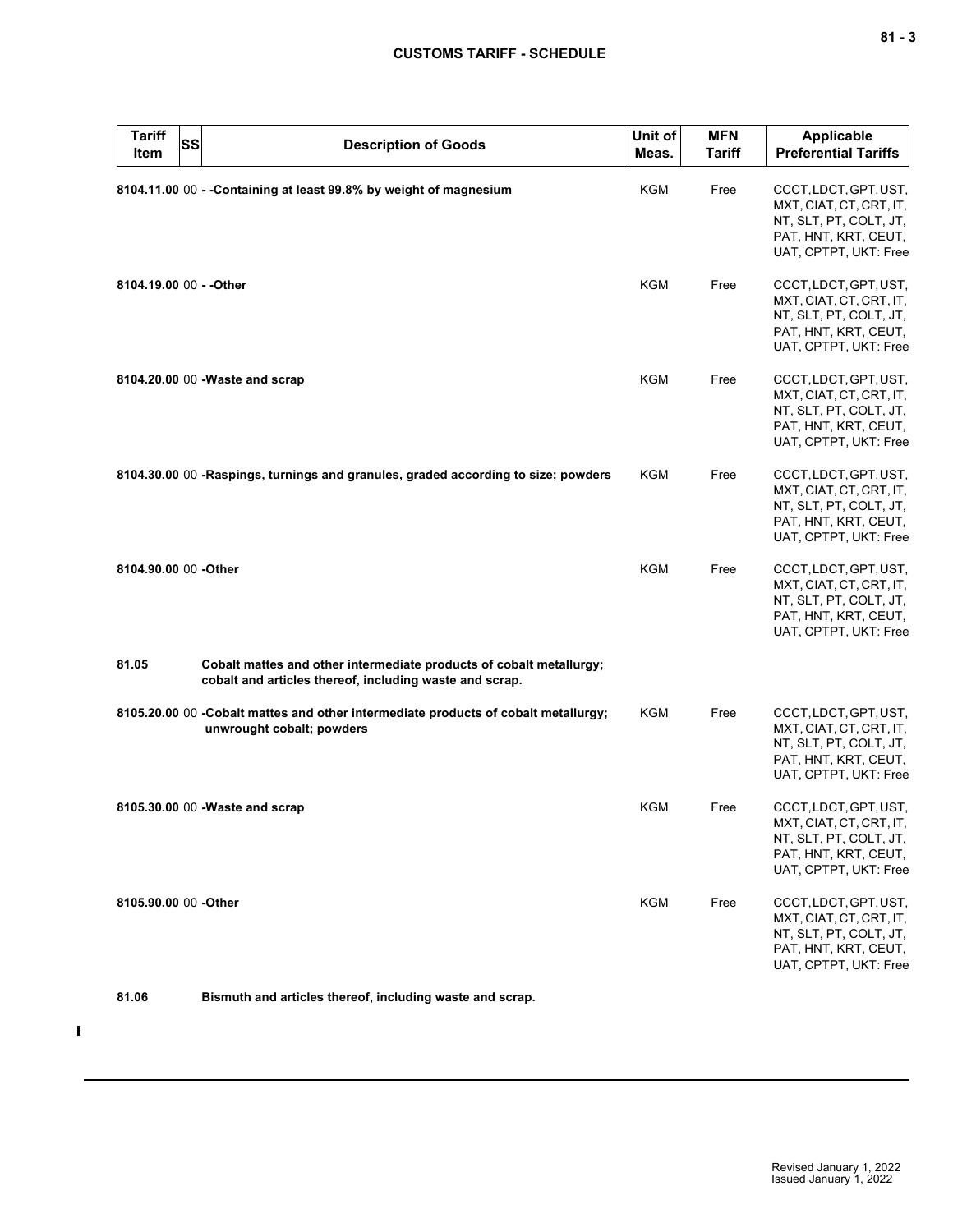| I<br>$\overline{\phantom{a}}$ |  | $\sim$ |
|-------------------------------|--|--------|
|-------------------------------|--|--------|

| <b>Tariff</b><br>Item   | SS | <b>Description of Goods</b>                                                                                                    | Unit of<br>Meas. | <b>MFN</b><br><b>Tariff</b> | <b>Applicable</b><br><b>Preferential Tariffs</b>                                                                            |
|-------------------------|----|--------------------------------------------------------------------------------------------------------------------------------|------------------|-----------------------------|-----------------------------------------------------------------------------------------------------------------------------|
|                         |    | 8104.11.00 00 - - Containing at least 99.8% by weight of magnesium                                                             | KGM              | Free                        | CCCT, LDCT, GPT, UST,<br>MXT, CIAT, CT, CRT, IT,<br>NT, SLT, PT, COLT, JT,<br>PAT, HNT, KRT, CEUT,<br>UAT, CPTPT, UKT: Free |
| 8104.19.00 00 - - Other |    |                                                                                                                                | <b>KGM</b>       | Free                        | CCCT, LDCT, GPT, UST,<br>MXT, CIAT, CT, CRT, IT,<br>NT, SLT, PT, COLT, JT,<br>PAT, HNT, KRT, CEUT,<br>UAT, CPTPT, UKT: Free |
|                         |    | 8104.20.00 00 - Waste and scrap                                                                                                | <b>KGM</b>       | Free                        | CCCT, LDCT, GPT, UST,<br>MXT, CIAT, CT, CRT, IT,<br>NT, SLT, PT, COLT, JT,<br>PAT, HNT, KRT, CEUT,<br>UAT, CPTPT, UKT: Free |
|                         |    | 8104.30.00 00 -Raspings, turnings and granules, graded according to size; powders                                              | KGM              | Free                        | CCCT, LDCT, GPT, UST,<br>MXT, CIAT, CT, CRT, IT,<br>NT, SLT, PT, COLT, JT,<br>PAT, HNT, KRT, CEUT,<br>UAT, CPTPT, UKT: Free |
| 8104.90.00 00 - Other   |    |                                                                                                                                | <b>KGM</b>       | Free                        | CCCT, LDCT, GPT, UST,<br>MXT, CIAT, CT, CRT, IT,<br>NT, SLT, PT, COLT, JT,<br>PAT, HNT, KRT, CEUT,<br>UAT, CPTPT, UKT: Free |
| 81.05                   |    | Cobalt mattes and other intermediate products of cobalt metallurgy;<br>cobalt and articles thereof, including waste and scrap. |                  |                             |                                                                                                                             |
|                         |    | 8105.20.00 00 -Cobalt mattes and other intermediate products of cobalt metallurgy;<br>unwrought cobalt; powders                | <b>KGM</b>       | Free                        | CCCT, LDCT, GPT, UST,<br>MXT, CIAT, CT, CRT, IT,<br>NT, SLT, PT, COLT, JT,<br>PAT, HNT, KRT, CEUT,<br>UAT, CPTPT, UKT: Free |
|                         |    | 8105.30.00 00 - Waste and scrap                                                                                                | <b>KGM</b>       | Free                        | CCCT, LDCT, GPT, UST,<br>MXT, CIAT, CT, CRT, IT,<br>NT, SLT, PT, COLT, JT,<br>PAT, HNT, KRT, CEUT,<br>UAT, CPTPT, UKT: Free |
| 8105.90.00 00 -Other    |    |                                                                                                                                | <b>KGM</b>       | Free                        | CCCT, LDCT, GPT, UST,<br>MXT, CIAT, CT, CRT, IT,<br>NT, SLT, PT, COLT, JT,<br>PAT, HNT, KRT, CEUT,<br>UAT, CPTPT, UKT: Free |

## **81.06 Bismuth and articles thereof, including waste and scrap.**

 $\mathbf{I}$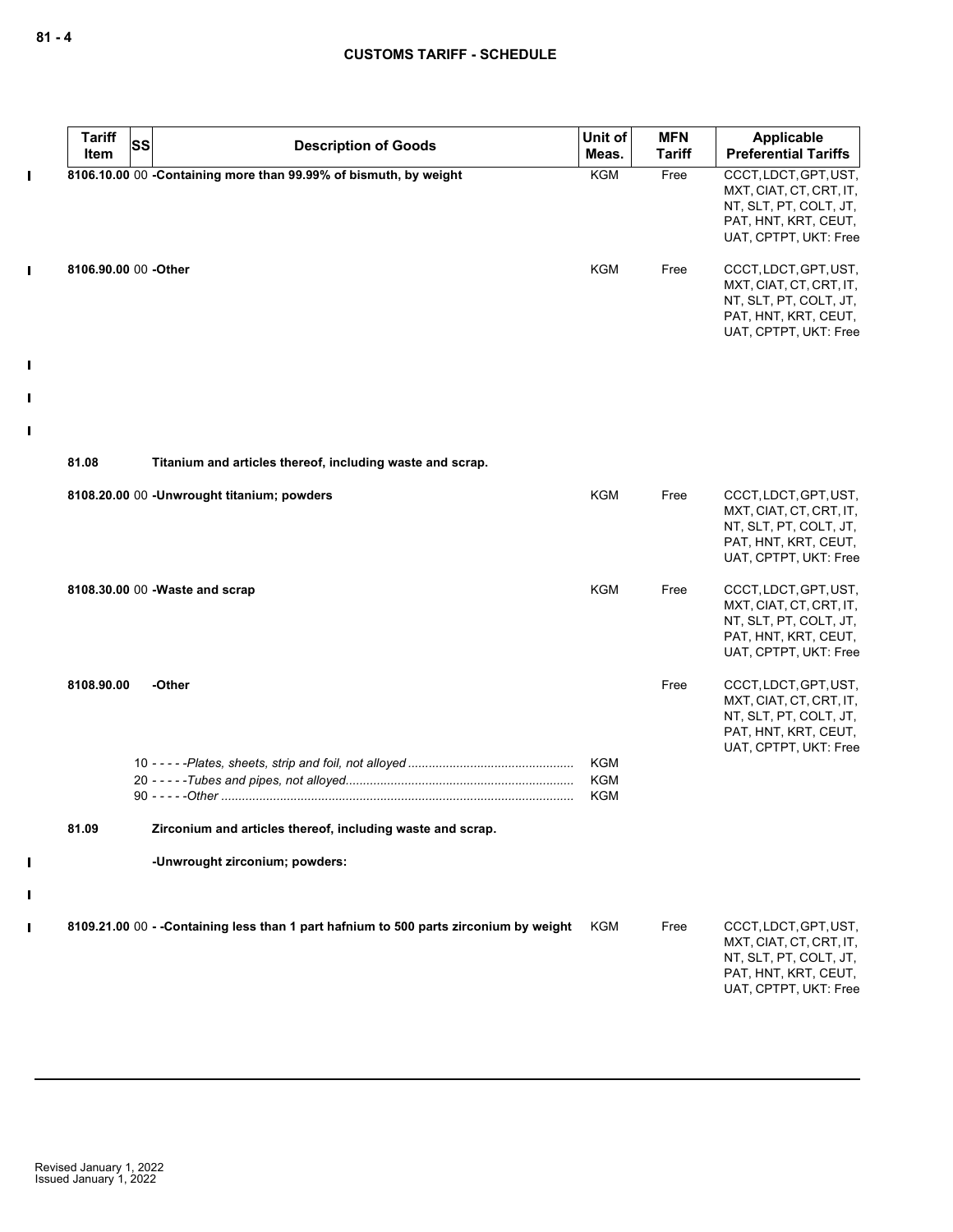| <b>Tariff</b><br>Item | <b>SS</b> | <b>Description of Goods</b>                                                           | Unit of<br>Meas.  | <b>MFN</b><br>Tariff | Applicable<br><b>Preferential Tariffs</b>                                                                                   |
|-----------------------|-----------|---------------------------------------------------------------------------------------|-------------------|----------------------|-----------------------------------------------------------------------------------------------------------------------------|
|                       |           | 8106.10.00 00 -Containing more than 99.99% of bismuth, by weight                      | <b>KGM</b>        | Free                 | CCCT, LDCT, GPT, UST,<br>MXT, CIAT, CT, CRT, IT,<br>NT, SLT, PT, COLT, JT,<br>PAT, HNT, KRT, CEUT,<br>UAT, CPTPT, UKT: Free |
| 8106.90.00 00 -Other  |           |                                                                                       | <b>KGM</b>        | Free                 | CCCT, LDCT, GPT, UST,<br>MXT, CIAT, CT, CRT, IT,<br>NT, SLT, PT, COLT, JT,<br>PAT, HNT, KRT, CEUT,<br>UAT, CPTPT, UKT: Free |
| 81.08                 |           | Titanium and articles thereof, including waste and scrap.                             |                   |                      |                                                                                                                             |
|                       |           | 8108.20.00 00 - Unwrought titanium; powders                                           | <b>KGM</b>        | Free                 | CCCT, LDCT, GPT, UST,<br>MXT, CIAT, CT, CRT, IT,<br>NT, SLT, PT, COLT, JT,<br>PAT, HNT, KRT, CEUT,<br>UAT, CPTPT, UKT: Free |
|                       |           | 8108.30.00 00 - Waste and scrap                                                       | <b>KGM</b>        | Free                 | CCCT, LDCT, GPT, UST,<br>MXT, CIAT, CT, CRT, IT,<br>NT, SLT, PT, COLT, JT,<br>PAT, HNT, KRT, CEUT,<br>UAT, CPTPT, UKT: Free |
| 8108.90.00            |           | -Other                                                                                |                   | Free                 | CCCT, LDCT, GPT, UST,<br>MXT, CIAT, CT, CRT, IT,<br>NT, SLT, PT, COLT, JT,<br>PAT, HNT, KRT, CEUT,<br>UAT, CPTPT, UKT: Free |
|                       |           |                                                                                       | KGM<br>KGM<br>KGM |                      |                                                                                                                             |
| 81.09                 |           | Zirconium and articles thereof, including waste and scrap.                            |                   |                      |                                                                                                                             |
|                       |           | -Unwrought zirconium; powders:                                                        |                   |                      |                                                                                                                             |
|                       |           | 8109.21.00 00 - -Containing less than 1 part hafnium to 500 parts zirconium by weight | KGM               | Free                 | CCCT, LDCT, GPT, UST,<br>MXT, CIAT, CT, CRT, IT,<br>NT, SLT, PT, COLT, JT,<br>PAT, HNT, KRT, CEUT,<br>UAT, CPTPT, UKT: Free |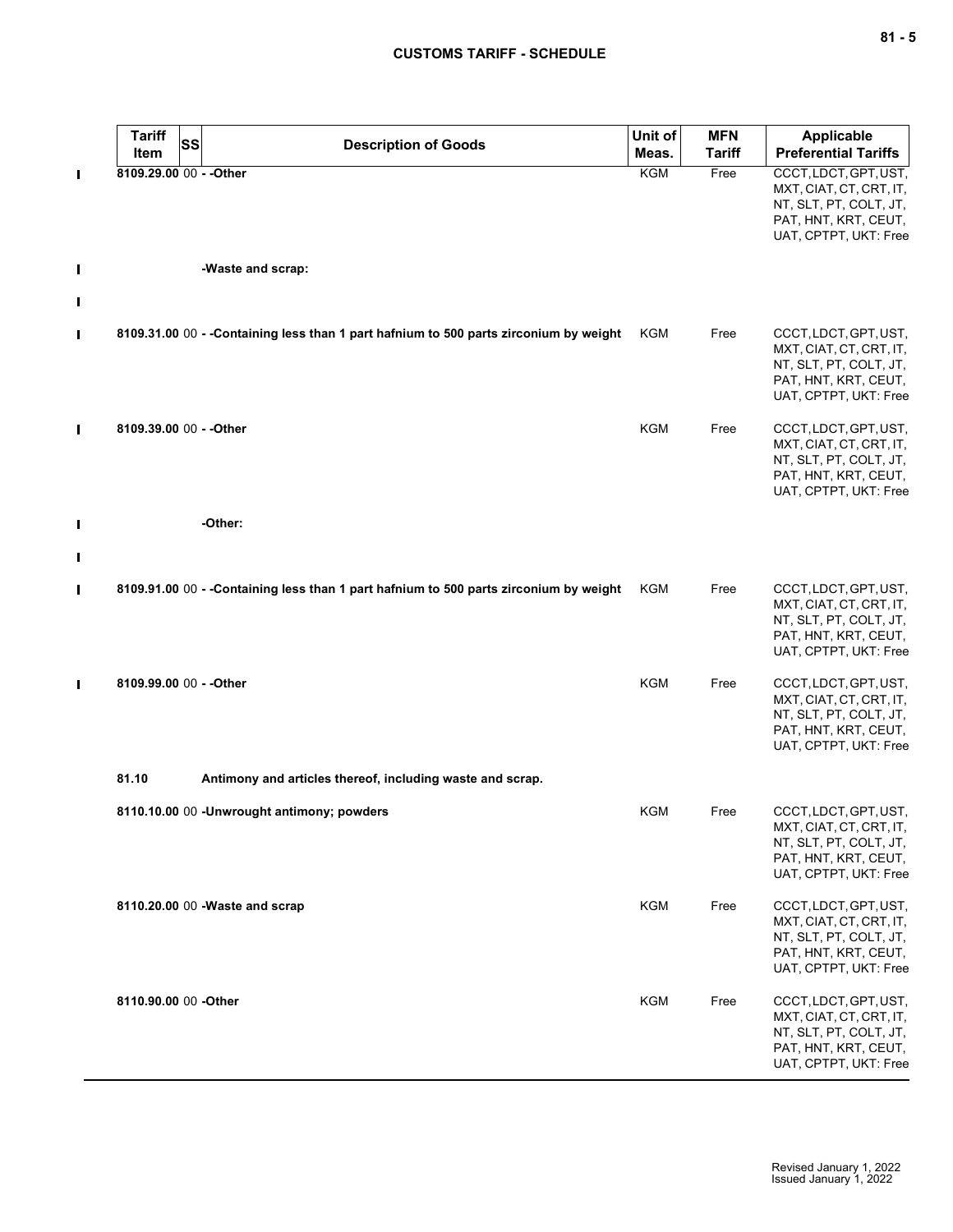# **CUSTOMS TARIFF - SCHEDULE**

|   | <b>Tariff</b><br>SS<br>Item | <b>Description of Goods</b>                                                            | Unit of<br>Meas. | <b>MFN</b><br><b>Tariff</b> | <b>Applicable</b><br><b>Preferential Tariffs</b>                                                                            |
|---|-----------------------------|----------------------------------------------------------------------------------------|------------------|-----------------------------|-----------------------------------------------------------------------------------------------------------------------------|
| П | 8109.29.00 00 - - Other     |                                                                                        | KGM              | Free                        | CCCT, LDCT, GPT, UST,<br>MXT, CIAT, CT, CRT, IT,<br>NT, SLT, PT, COLT, JT,<br>PAT, HNT, KRT, CEUT,<br>UAT, CPTPT, UKT: Free |
| I |                             | -Waste and scrap:                                                                      |                  |                             |                                                                                                                             |
| П |                             |                                                                                        |                  |                             |                                                                                                                             |
| П |                             | 8109.31.00 00 - - Containing less than 1 part hafnium to 500 parts zirconium by weight | KGM              | Free                        | CCCT, LDCT, GPT, UST,<br>MXT, CIAT, CT, CRT, IT,<br>NT, SLT, PT, COLT, JT,<br>PAT, HNT, KRT, CEUT,<br>UAT, CPTPT, UKT: Free |
| П | 8109.39.00 00 - - Other     |                                                                                        | <b>KGM</b>       | Free                        | CCCT, LDCT, GPT, UST,<br>MXT, CIAT, CT, CRT, IT,<br>NT, SLT, PT, COLT, JT,<br>PAT, HNT, KRT, CEUT,<br>UAT, CPTPT, UKT: Free |
| Π |                             | -Other:                                                                                |                  |                             |                                                                                                                             |
|   |                             |                                                                                        |                  |                             |                                                                                                                             |
| П |                             | 8109.91.00 00 - -Containing less than 1 part hafnium to 500 parts zirconium by weight  | KGM              | Free                        | CCCT, LDCT, GPT, UST,<br>MXT, CIAT, CT, CRT, IT,<br>NT, SLT, PT, COLT, JT,<br>PAT, HNT, KRT, CEUT,<br>UAT, CPTPT, UKT: Free |
| П | 8109.99.00 00 - - Other     |                                                                                        | <b>KGM</b>       | Free                        | CCCT, LDCT, GPT, UST,<br>MXT, CIAT, CT, CRT, IT,<br>NT, SLT, PT, COLT, JT,<br>PAT, HNT, KRT, CEUT,<br>UAT, CPTPT, UKT: Free |
|   | 81.10                       | Antimony and articles thereof, including waste and scrap.                              |                  |                             |                                                                                                                             |
|   |                             | 8110.10.00 00 - Unwrought antimony; powders                                            | <b>KGM</b>       | Free                        | CCCT, LDCT, GPT, UST,<br>MXT, CIAT, CT, CRT, IT,<br>NT, SLT, PT, COLT, JT,<br>PAT, HNT, KRT, CEUT,<br>UAT, CPTPT, UKT: Free |
|   |                             | 8110.20.00 00 - Waste and scrap                                                        | KGM              | Free                        | CCCT, LDCT, GPT, UST,<br>MXT, CIAT, CT, CRT, IT,<br>NT, SLT, PT, COLT, JT,<br>PAT, HNT, KRT, CEUT,<br>UAT, CPTPT, UKT: Free |
|   | 8110.90.00 00 -Other        |                                                                                        | <b>KGM</b>       | Free                        | CCCT, LDCT, GPT, UST,<br>MXT, CIAT, CT, CRT, IT,<br>NT, SLT, PT, COLT, JT,<br>PAT, HNT, KRT, CEUT,<br>UAT, CPTPT, UKT: Free |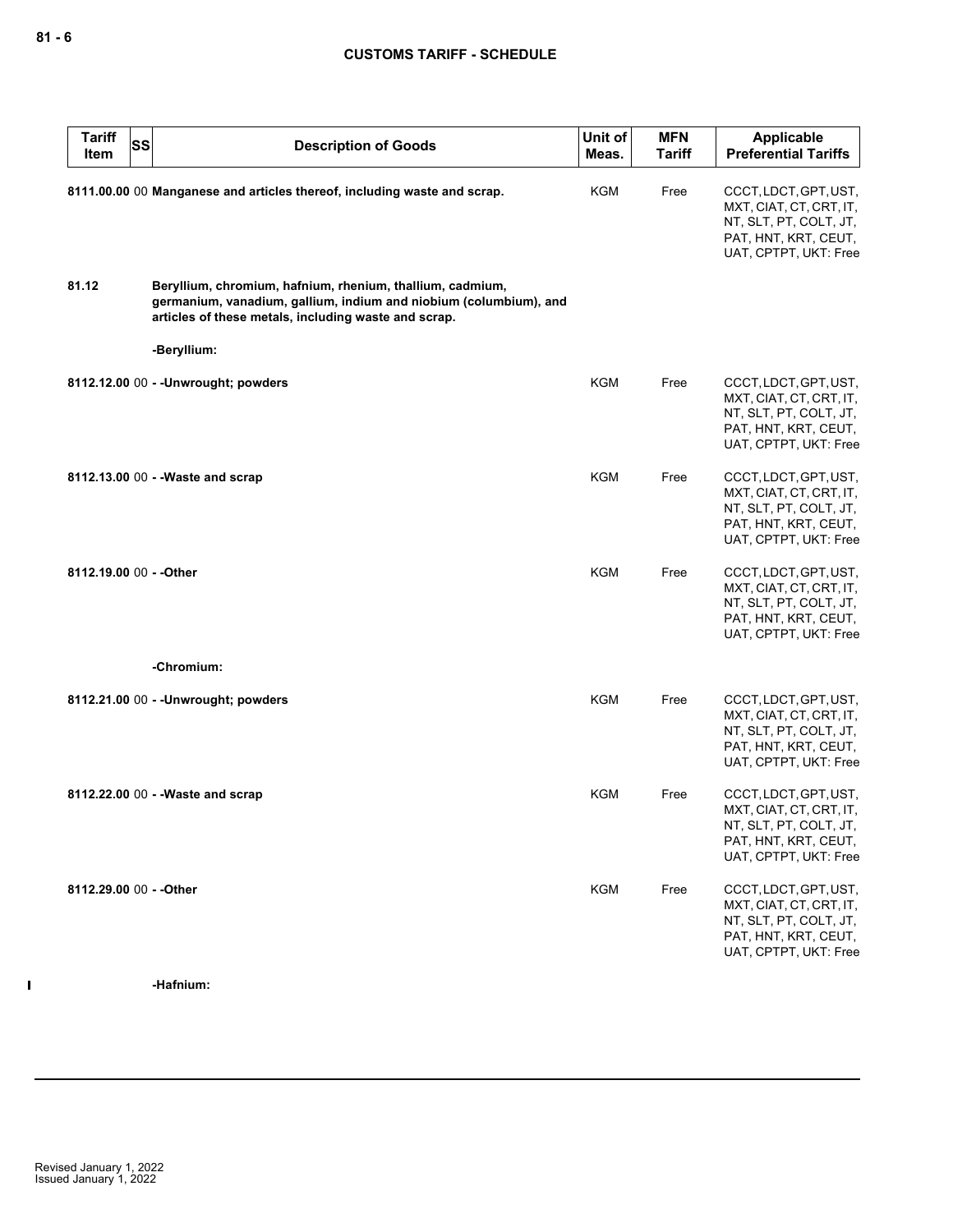| <b>Tariff</b><br><b>SS</b><br>Item | <b>Description of Goods</b>                                                                                                                                                            | Unit of<br>Meas. | <b>MFN</b><br><b>Tariff</b> | <b>Applicable</b><br><b>Preferential Tariffs</b>                                                                            |
|------------------------------------|----------------------------------------------------------------------------------------------------------------------------------------------------------------------------------------|------------------|-----------------------------|-----------------------------------------------------------------------------------------------------------------------------|
|                                    | 8111.00.00 00 Manganese and articles thereof, including waste and scrap.                                                                                                               | KGM              | Free                        | CCCT, LDCT, GPT, UST,<br>MXT, CIAT, CT, CRT, IT,<br>NT, SLT, PT, COLT, JT,<br>PAT, HNT, KRT, CEUT,<br>UAT, CPTPT, UKT: Free |
| 81.12                              | Beryllium, chromium, hafnium, rhenium, thallium, cadmium,<br>germanium, vanadium, gallium, indium and niobium (columbium), and<br>articles of these metals, including waste and scrap. |                  |                             |                                                                                                                             |
|                                    | -Beryllium:                                                                                                                                                                            |                  |                             |                                                                                                                             |
|                                    | 8112.12.00 00 - - Unwrought; powders                                                                                                                                                   | KGM              | Free                        | CCCT, LDCT, GPT, UST,<br>MXT, CIAT, CT, CRT, IT,<br>NT, SLT, PT, COLT, JT,<br>PAT, HNT, KRT, CEUT,<br>UAT, CPTPT, UKT: Free |
|                                    | 8112.13.00 00 - - Waste and scrap                                                                                                                                                      | <b>KGM</b>       | Free                        | CCCT, LDCT, GPT, UST,<br>MXT, CIAT, CT, CRT, IT,<br>NT, SLT, PT, COLT, JT,<br>PAT, HNT, KRT, CEUT,<br>UAT, CPTPT, UKT: Free |
| 8112.19.00 00 - - Other            |                                                                                                                                                                                        | <b>KGM</b>       | Free                        | CCCT, LDCT, GPT, UST,<br>MXT, CIAT, CT, CRT, IT,<br>NT, SLT, PT, COLT, JT,<br>PAT, HNT, KRT, CEUT,<br>UAT, CPTPT, UKT: Free |
|                                    | -Chromium:                                                                                                                                                                             |                  |                             |                                                                                                                             |
|                                    | 8112.21.00 00 - - Unwrought; powders                                                                                                                                                   | <b>KGM</b>       | Free                        | CCCT, LDCT, GPT, UST,<br>MXT, CIAT, CT, CRT, IT,<br>NT, SLT, PT, COLT, JT,<br>PAT, HNT, KRT, CEUT,<br>UAT, CPTPT, UKT: Free |
|                                    | 8112.22.00 00 - - Waste and scrap                                                                                                                                                      | KGM              | Free                        | CCCT, LDCT, GPT, UST,<br>MXT, CIAT, CT, CRT, IT,<br>NT, SLT, PT, COLT, JT,<br>PAT, HNT, KRT, CEUT,<br>UAT, CPTPT, UKT: Free |
| 8112.29.00 00 - - Other            |                                                                                                                                                                                        | <b>KGM</b>       | Free                        | CCCT, LDCT, GPT, UST,<br>MXT, CIAT, CT, CRT, IT,<br>NT, SLT, PT, COLT, JT,<br>PAT, HNT, KRT, CEUT,<br>UAT, CPTPT, UKT: Free |

 $\mathbf{I}$ 

**-Hafnium:**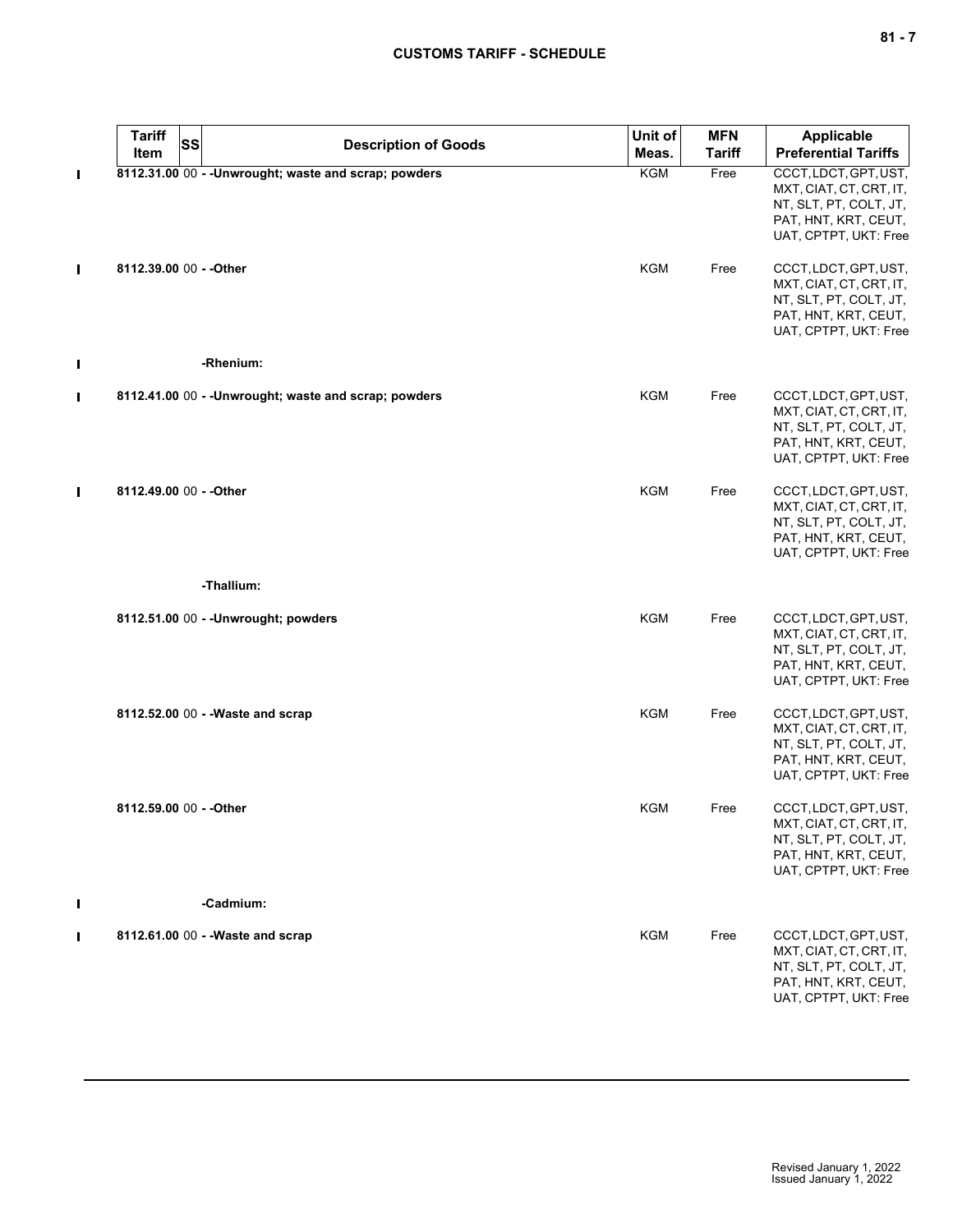|                | <b>Tariff</b><br>SS<br>Item | <b>Description of Goods</b>                           | Unit of<br>Meas. | <b>MFN</b><br><b>Tariff</b> | <b>Applicable</b><br><b>Preferential Tariffs</b>                                                                            |
|----------------|-----------------------------|-------------------------------------------------------|------------------|-----------------------------|-----------------------------------------------------------------------------------------------------------------------------|
| п              |                             | 8112.31.00 00 - - Unwrought; waste and scrap; powders | <b>KGM</b>       | Free                        | CCCT, LDCT, GPT, UST,<br>MXT, CIAT, CT, CRT, IT,<br>NT, SLT, PT, COLT, JT,<br>PAT, HNT, KRT, CEUT,<br>UAT, CPTPT, UKT: Free |
| п              | 8112.39.00 00 - - Other     |                                                       | <b>KGM</b>       | Free                        | CCCT, LDCT, GPT, UST,<br>MXT, CIAT, CT, CRT, IT,<br>NT, SLT, PT, COLT, JT,<br>PAT, HNT, KRT, CEUT,<br>UAT, CPTPT, UKT: Free |
| L              |                             | -Rhenium:                                             |                  |                             |                                                                                                                             |
| П              |                             | 8112.41.00 00 - - Unwrought; waste and scrap; powders | <b>KGM</b>       | Free                        | CCCT, LDCT, GPT, UST,<br>MXT, CIAT, CT, CRT, IT,<br>NT, SLT, PT, COLT, JT,<br>PAT, HNT, KRT, CEUT,<br>UAT, CPTPT, UKT: Free |
| $\blacksquare$ | 8112.49.00 00 - - Other     |                                                       | <b>KGM</b>       | Free                        | CCCT, LDCT, GPT, UST,<br>MXT, CIAT, CT, CRT, IT,<br>NT, SLT, PT, COLT, JT,<br>PAT, HNT, KRT, CEUT,<br>UAT, CPTPT, UKT: Free |
|                |                             | -Thallium:                                            |                  |                             |                                                                                                                             |
|                |                             | 8112.51.00 00 - - Unwrought; powders                  | KGM              | Free                        | CCCT, LDCT, GPT, UST,<br>MXT, CIAT, CT, CRT, IT,<br>NT, SLT, PT, COLT, JT,<br>PAT, HNT, KRT, CEUT,<br>UAT, CPTPT, UKT: Free |
|                |                             | 8112.52.00 00 - - Waste and scrap                     | <b>KGM</b>       | Free                        | CCCT, LDCT, GPT, UST,<br>MXT, CIAT, CT, CRT, IT,<br>NT, SLT, PT, COLT, JT,<br>PAT, HNT, KRT, CEUT,<br>UAT, CPTPT, UKT: Free |
|                | 8112.59.00 00 - - Other     |                                                       | KGM              | Free                        | CCCT, LDCT, GPT, UST,<br>MXT, CIAT, CT, CRT, IT,<br>NT, SLT, PT, COLT, JT,<br>PAT, HNT, KRT, CEUT,<br>UAT, CPTPT, UKT: Free |
| Ш              |                             | -Cadmium:                                             |                  |                             |                                                                                                                             |
| п              |                             | 8112.61.00 00 - - Waste and scrap                     | KGM              | Free                        | CCCT, LDCT, GPT, UST,<br>MXT, CIAT, CT, CRT, IT,<br>NT, SLT, PT, COLT, JT,<br>PAT, HNT, KRT, CEUT,<br>UAT, CPTPT, UKT: Free |